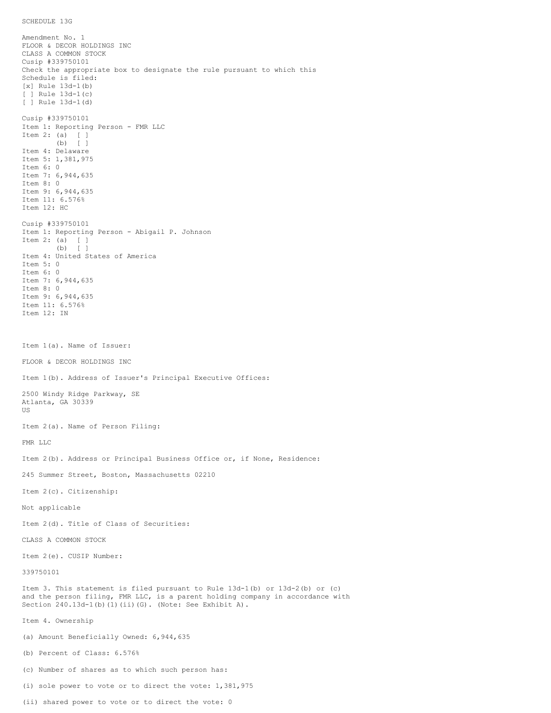Amendment No. 1 FLOOR & DECOR HOLDINGS INC CLASS A COMMON STOCK Cusip #339750101 Check the appropriate box to designate the rule pursuant to which this Schedule is filed: [x] Rule 13d-1(b) [ ] Rule 13d-1(c) [ ] Rule 13d-1(d) Cusip #339750101 Item 1: Reporting Person - FMR LLC Item 2: (a) [ ] (b) [ ] Item 4: Delaware Item 5: 1,381,975 Item 6: 0 Item 7: 6,944,635 Item 8: 0 Item 9: 6,944,635 Item 11: 6.576% Item 12: HC Cusip #339750101 Item 1: Reporting Person - Abigail P. Johnson Item 2: (a) [ ] (b) [ ] Item 4: United States of America Item 5: 0 Item 6: 0 Item 7: 6,944,635 Item 8: 0 Item 9: 6,944,635 Item 11: 6.576% Item 12: IN Item 1(a). Name of Issuer: FLOOR & DECOR HOLDINGS INC Item 1(b). Address of Issuer's Principal Executive Offices: 2500 Windy Ridge Parkway, SE Atlanta, GA 30339 US Item 2(a). Name of Person Filing: FMR LLC Item 2(b). Address or Principal Business Office or, if None, Residence: 245 Summer Street, Boston, Massachusetts 02210 Item 2(c). Citizenship: Not applicable Item 2(d). Title of Class of Securities: CLASS A COMMON STOCK Item 2(e). CUSIP Number: 339750101 Item 3. This statement is filed pursuant to Rule 13d-1(b) or 13d-2(b) or (c) and the person filing, FMR LLC, is a parent holding company in accordance with Section 240.13d-1(b)(1)(ii)(G). (Note: See Exhibit A). Item 4. Ownership (a) Amount Beneficially Owned: 6,944,635 (b) Percent of Class: 6.576% (c) Number of shares as to which such person has: (i) sole power to vote or to direct the vote: 1,381,975

(ii) shared power to vote or to direct the vote: 0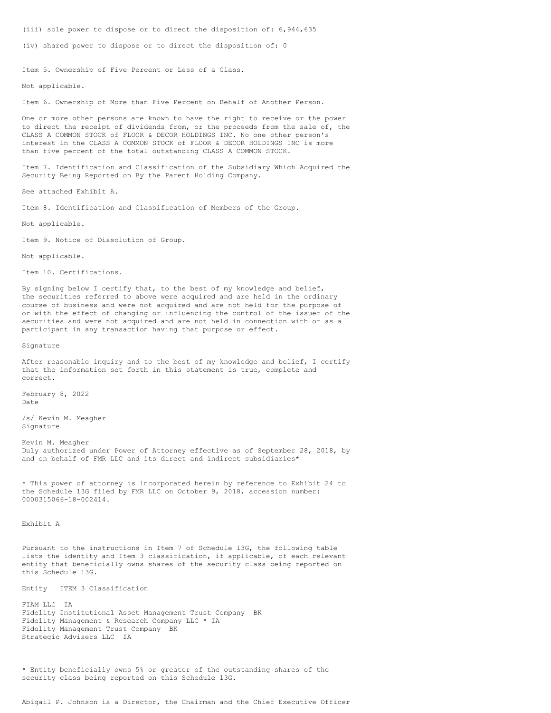(iii) sole power to dispose or to direct the disposition of: 6,944,635

(iv) shared power to dispose or to direct the disposition of: 0

Item 5. Ownership of Five Percent or Less of a Class.

Not applicable.

Item 6. Ownership of More than Five Percent on Behalf of Another Person.

One or more other persons are known to have the right to receive or the power to direct the receipt of dividends from, or the proceeds from the sale of, the CLASS A COMMON STOCK of FLOOR & DECOR HOLDINGS INC. No one other person's interest in the CLASS A COMMON STOCK of FLOOR & DECOR HOLDINGS INC is more than five percent of the total outstanding CLASS A COMMON STOCK.

Item 7. Identification and Classification of the Subsidiary Which Acquired the Security Being Reported on By the Parent Holding Company.

See attached Exhibit A.

Item 8. Identification and Classification of Members of the Group.

Not applicable.

Item 9. Notice of Dissolution of Group.

Not applicable.

Item 10. Certifications.

By signing below I certify that, to the best of my knowledge and belief, the securities referred to above were acquired and are held in the ordinary course of business and were not acquired and are not held for the purpose of or with the effect of changing or influencing the control of the issuer of the securities and were not acquired and are not held in connection with or as a participant in any transaction having that purpose or effect.

Signature

After reasonable inquiry and to the best of my knowledge and belief, I certify that the information set forth in this statement is true, complete and correct.

February 8, 2022 Date

/s/ Kevin M. Meagher Signature

Kevin M. Meagher Duly authorized under Power of Attorney effective as of September 28, 2018, by and on behalf of FMR LLC and its direct and indirect subsidiaries\*

\* This power of attorney is incorporated herein by reference to Exhibit 24 to the Schedule 13G filed by FMR LLC on October 9, 2018, accession number: 0000315066-18-002414.

Exhibit A

Pursuant to the instructions in Item 7 of Schedule 13G, the following table lists the identity and Item 3 classification, if applicable, of each relevant entity that beneficially owns shares of the security class being reported on this Schedule 13G.

Entity ITEM 3 Classification

FIAM LLC IA Fidelity Institutional Asset Management Trust Company BK Fidelity Management & Research Company LLC \* IA Fidelity Management Trust Company BK Strategic Advisers LLC IA

\* Entity beneficially owns 5% or greater of the outstanding shares of the security class being reported on this Schedule 13G.

Abigail P. Johnson is a Director, the Chairman and the Chief Executive Officer